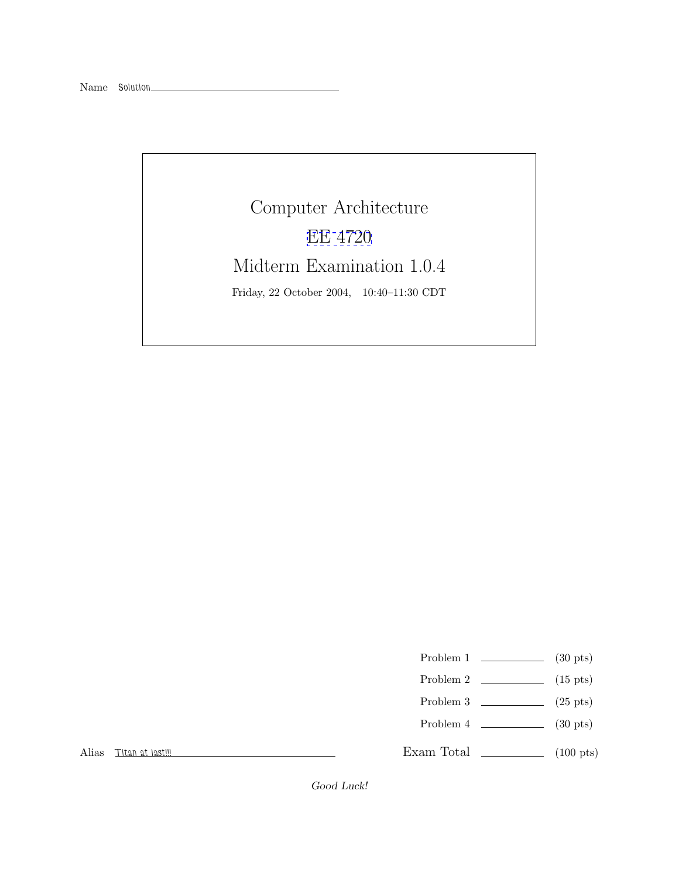Computer Architecture [EE 4720](http://www.ece.lsu.edu/ee4720/) Midterm Examination 1.0.4 Friday, 22 October 2004, 10:40–11:30 CDT

Problem 1  $\qquad \qquad$  (30 pts)

- Problem 2  $\qquad \qquad$  (15 pts)
- Problem 3  $\qquad \qquad$  (25 pts)
- Problem 4  $\qquad \qquad (30 \text{ pts})$

Exam Total \_\_\_\_\_\_\_\_\_\_\_\_\_ (100 pts)

Alias *Titan at last!!!*

Good Luck!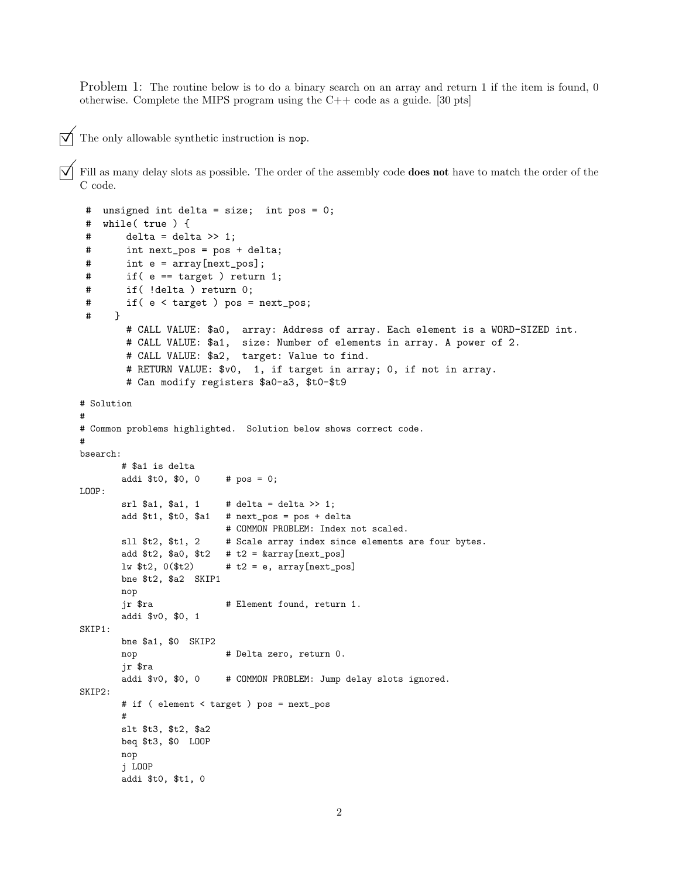Problem 1: The routine below is to do a binary search on an array and return 1 if the item is found, 0 otherwise. Complete the MIPS program using the C++ code as a guide. [30 pts]

 $\triangledown$  The only allowable synthetic instruction is nop.

©Fill as many delay slots as possible. The order of the assembly code **does not** have to match the order of the C code.

```
# unsigned int delta = size; int pos = 0;
 # while( true ) {
 # delta = delta >> 1;
 # int next_pos = pos + delta;
 # int e = array[next_pos];
 # if( e == target ) return 1;
 # if( !delta ) return 0;
 # if( e < target ) pos = next_pos;
 # }
       # CALL VALUE: $a0, array: Address of array. Each element is a WORD-SIZED int.
       # CALL VALUE: $a1, size: Number of elements in array. A power of 2.
       # CALL VALUE: $a2, target: Value to find.
       # RETURN VALUE: $v0, 1, if target in array; 0, if not in array.
        # Can modify registers $a0-a3, $t0-$t9
# Solution
#
# Common problems highlighted. Solution below shows correct code.
#
bsearch:
       # $a1 is delta
       addi $t0, $0, 0 # pos = 0;
LOOP:
       sr1 $a1, $a1, 1 # delta = delta >> 1;
       add $t1, $t0, $a1 # next_pos = pos + delta
                         # COMMON PROBLEM: Index not scaled.
       sll $t2, $t1, 2   # Scale array index since elements are four bytes.
       add t2, a0, t2 # t2 = karray[next_pos]lw t2, 0 (t2) \qquad # t2 = e, array[next_pos]bne $t2, $a2 SKIP1
       nop
       jr $ra \qquad # Element found, return 1.
       addi $v0, $0, 1
SKIP1:
       bne $a1, $0 SKIP2
       nop \# Delta zero, return 0.
       jr $ra
       addi $v0, $0, 0 # COMMON PROBLEM: Jump delay slots ignored.
SKIP2:
       # if ( element < target ) pos = next_pos
       #
       slt $t3, $t2, $a2
       beq $t3, $0 LOOP
       nop
       j LOOP
       addi $t0, $t1, 0
```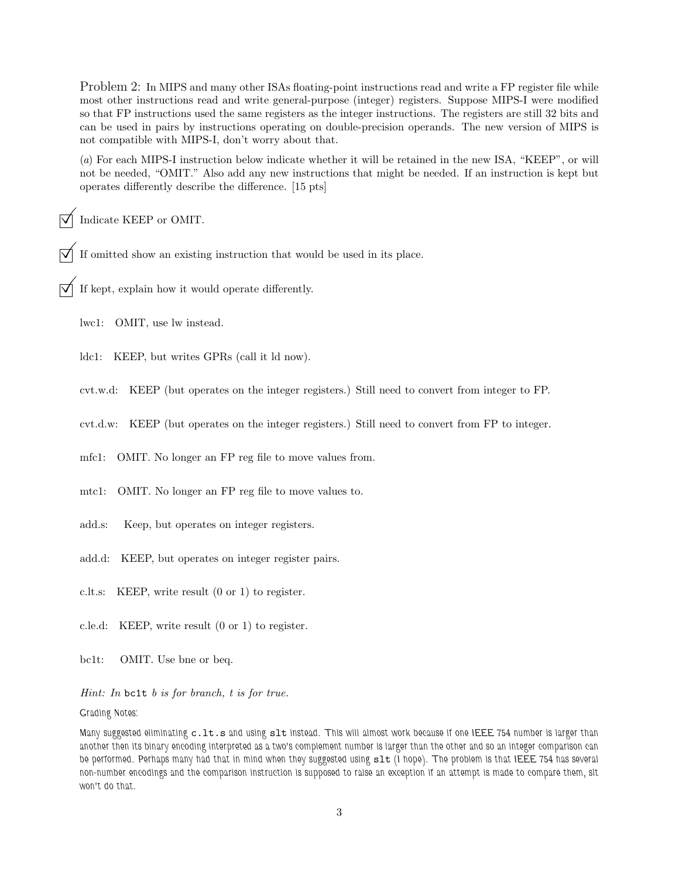Problem 2: In MIPS and many other ISAs floating-point instructions read and write a FP register file while most other instructions read and write general-purpose (integer) registers. Suppose MIPS-I were modified so that FP instructions used the same registers as the integer instructions. The registers are still 32 bits and can be used in pairs by instructions operating on double-precision operands. The new version of MIPS is not compatible with MIPS-I, don't worry about that.

(*a*) For each MIPS-I instruction below indicate whether it will be retained in the new ISA, "KEEP", or will not be needed, "OMIT." Also add any new instructions that might be needed. If an instruction is kept but operates differently describe the difference. [15 pts]

©Indicate KEEP or OMIT.

If omitted show an existing instruction that would be used in its place.

If kept, explain how it would operate differently.

lwc1: OMIT, use lw instead.

ldc1: KEEP, but writes GPRs (call it ld now).

cvt.w.d: KEEP (but operates on the integer registers.) Still need to convert from integer to FP.

cvt.d.w: KEEP (but operates on the integer registers.) Still need to convert from FP to integer.

mfc1: OMIT. No longer an FP reg file to move values from.

mtc1: OMIT. No longer an FP reg file to move values to.

- add.s: Keep, but operates on integer registers.
- add.d: KEEP, but operates on integer register pairs.

c.lt.s: KEEP, write result (0 or 1) to register.

- c.le.d: KEEP, write result (0 or 1) to register.
- bc1t: OMIT. Use bne or beq.

*Hint: In* bc1t *b is for branch, t is for true.*

*Grading Notes:*

*Many suggested eliminating* c.lt.s *and using* slt *instead. This will almost work because if one IEEE 754 number is larger than another then its binary encoding interpreted as a two's complement number is larger than the other and so an integer comparison can be performed. Perhaps many had that in mind when they suggested using* slt *(I hope). The problem is that IEEE 754 has several non-number encodings and the comparison instruction is supposed to raise an exception if an attempt is made to compare them, slt won't do that.*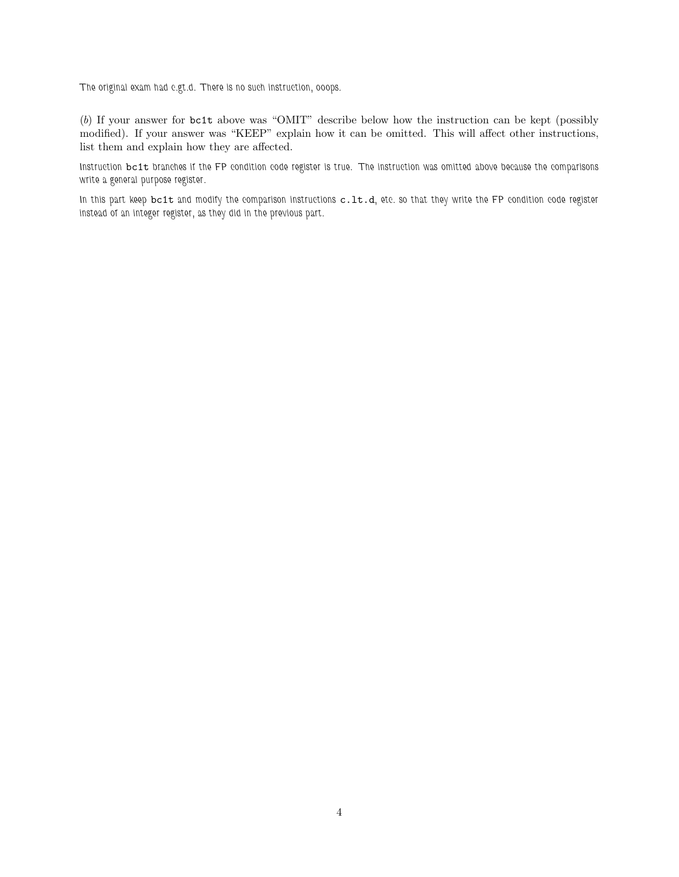*The original exam had c.gt.d. There is no such instruction, ooops.*

(*b*) If your answer for bc1t above was "OMIT" describe below how the instruction can be kept (possibly modified). If your answer was "KEEP" explain how it can be omitted. This will affect other instructions, list them and explain how they are affected.

*Instruction* bc1t *branches if the FP condition code register is true. The instruction was omitted above because the comparisons write a general purpose register.*

*In this part keep* bc1t *and modify the comparison instructions* c.lt.d*, etc. so that they write the FP condition code register instead of an integer register, as they did in the previous part.*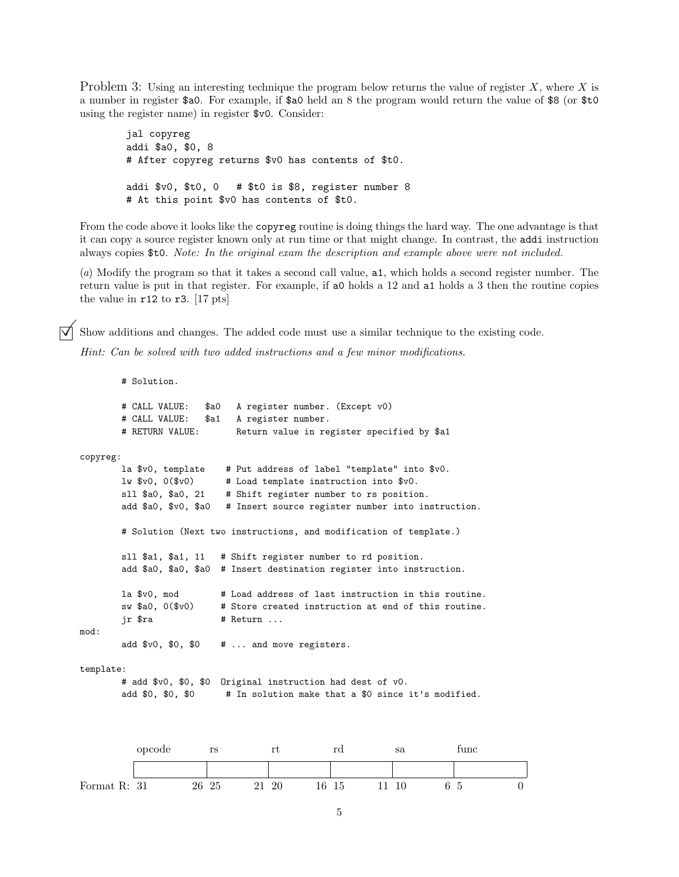Problem 3: Using an interesting technique the program below returns the value of register X, where X is a number in register \$a0. For example, if \$a0 held an 8 the program would return the value of \$8 (or \$t0 using the register name) in register \$v0. Consider:

jal copyreg addi \$a0, \$0, 8 # After copyreg returns \$v0 has contents of \$t0. addi \$v0, \$t0, 0 # \$t0 is \$8, register number 8 # At this point \$v0 has contents of \$t0.

From the code above it looks like the copyreg routine is doing things the hard way. The one advantage is that it can copy a source register known only at run time or that might change. In contrast, the addi instruction always copies \$t0. *Note: In the original exam the description and example above were not included.*

(*a*) Modify the program so that it takes a second call value, a1, which holds a second register number. The return value is put in that register. For example, if a0 holds a 12 and a1 holds a 3 then the routine copies the value in r12 to r3. [17 pts]

Show additions and changes. The added code must use a similar technique to the existing code.

*Hint: Can be solved with two added instructions and a few minor modifications.*

```
# Solution.
         # CALL VALUE: $a0 A register number. (Except v0)
         # CALL VALUE: $a1 A register number.
         # RETURN VALUE: Return value in register specified by $a1
copyreg:
         la $v0, template # Put address of label "template" into $v0.
         lw $v0, 0($v0) # Load template instruction into $v0.
         sll $a0, $a0, 21 # Shift register number to rs position.
         add $a0, $v0, $a0 # Insert source register number into instruction.
         # Solution (Next two instructions, and modification of template.)
         sll $a1, $a1, 11 # Shift register number to rd position.
         add $a0, $a0, $a0 # Insert destination register into instruction.
         la $v0, mod * Load address of last instruction in this routine.
         sw $a0, 0 ($v0) # Store created instruction at end of this routine.
         ir \frac{1}{2}ra \frac{1}{2} \frac{1}{2} \frac{1}{2} \frac{1}{2} \frac{1}{2} \frac{1}{2} \frac{1}{2} \frac{1}{2} \frac{1}{2} \frac{1}{2} \frac{1}{2} \frac{1}{2} \frac{1}{2} \frac{1}{2} \frac{1}{2} \frac{1}{2} \frac{1}{2} \frac{1}{2} \frac{1}{2} \frac{1}{2} \frac{1mod:
         add $v0, $0, $0 # ... and move registers.
template:
         # add $v0, $0, $0 Original instruction had dest of v0.
         add $0, $0, $0 # In solution make that a $0 since it's modified.
```
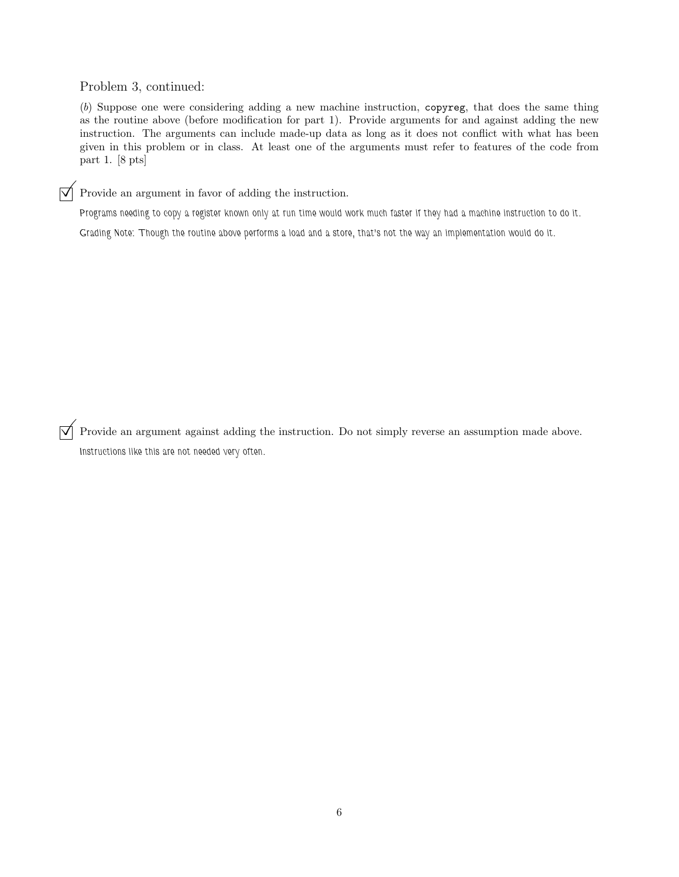Problem 3, continued:

(*b*) Suppose one were considering adding a new machine instruction, copyreg, that does the same thing as the routine above (before modification for part 1). Provide arguments for and against adding the new instruction. The arguments can include made-up data as long as it does not conflict with what has been given in this problem or in class. At least one of the arguments must refer to features of the code from part 1. [8 pts]

 $\boxed{\bigtriangledown}$  Provide an argument in favor of adding the instruction.

*Programs needing to copy a register known only at run time would work much faster if they had a machine instruction to do it. Grading Note: Though the routine above performs a load and a store, that's not the way an implementation would do it.*

 $\overrightarrow{\mathsf{q}}$  Provide an argument against adding the instruction. Do not simply reverse an assumption made above. *Instructions like this are not needed very often.*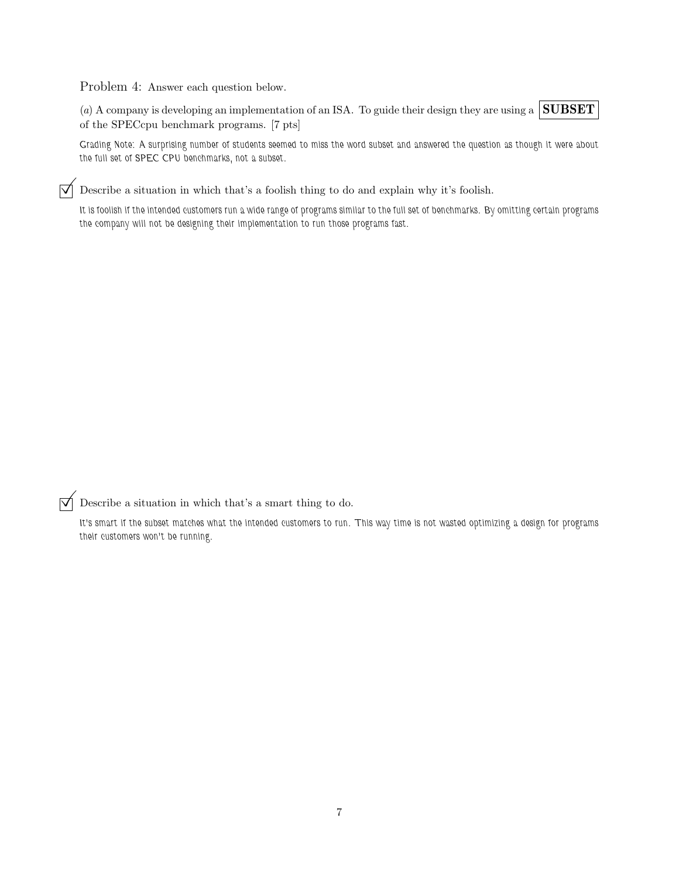Problem 4: Answer each question below.

(*a*) A company is developing an implementation of an ISA. To guide their design they are using a **SUBSET** of the SPECcpu benchmark programs. [7 pts]

*Grading Note: A surprising number of students seemed to miss the word subset and answered the question as though it were about the full set of SPEC CPU benchmarks, not a subset.*

 $\triangledown$  Describe a situation in which that's a foolish thing to do and explain why it's foolish.

*It is foolish if the intended customers run a wide range of programs similar to the full set of benchmarks. By omitting certain programs the company will not be designing their implementation to run those programs fast.*

 $\triangledown$  Describe a situation in which that's a smart thing to do.

*It's smart if the subset matches what the intended customers to run. This way time is not wasted optimizing a design for programs their customers won't be running.*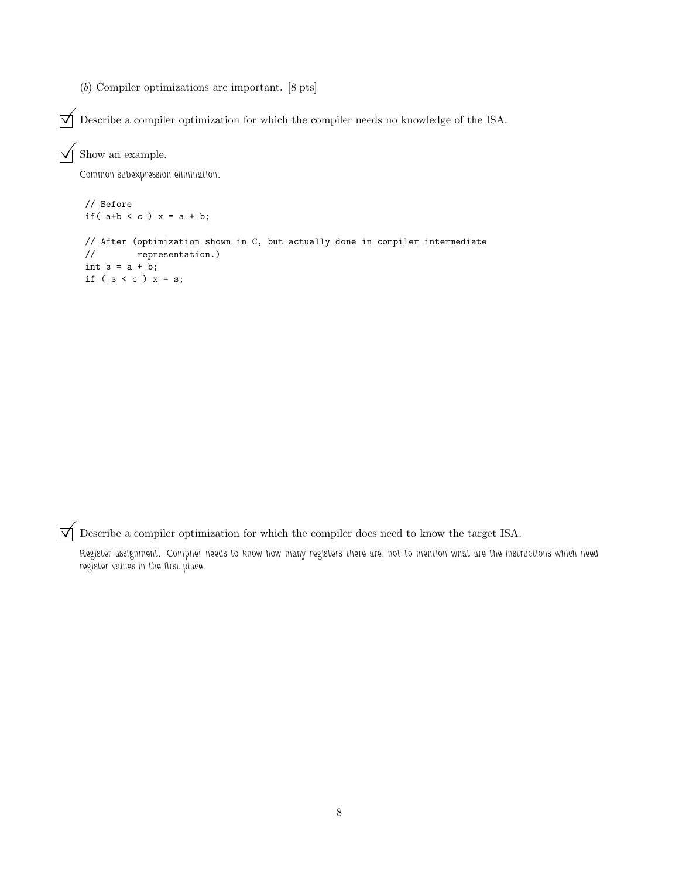(*b*) Compiler optimizations are important. [8 pts]

 $\boxed{\blacktriangledown}$  Describe a compiler optimization for which the compiler needs no knowledge of the ISA.

 $\triangledown$  Show an example.

*Common subexpression elimination.*

```
// Before
if( a+b < c ) x = a + b;
// After (optimization shown in C, but actually done in compiler intermediate
// representation.)
int s = a + b;
if (s < c) x = s;
```
 $\overrightarrow{\mathsf{Q}}$  Describe a compiler optimization for which the compiler does need to know the target ISA.

*Register assignment. Compiler needs to know how many registers there are, not to mention what are the instructions which need register values in the first place.*